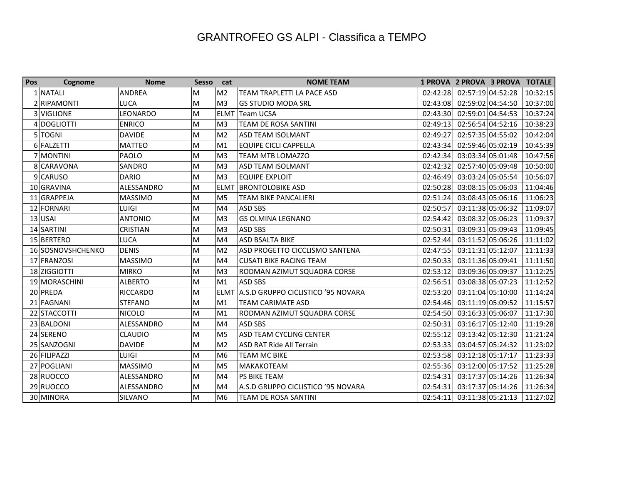| Pos | Cognome           | <b>Nome</b>     | Sesso cat |                | <b>NOME TEAM</b>                   |          |                   | 1 PROVA 2 PROVA 3 PROVA TOTALE |          |
|-----|-------------------|-----------------|-----------|----------------|------------------------------------|----------|-------------------|--------------------------------|----------|
|     | 1 NATALI          | <b>ANDREA</b>   | M         | M <sub>2</sub> | <b>TEAM TRAPLETTI LA PACE ASD</b>  | 02:42:28 | 02:57:19 04:52:28 |                                | 10:32:15 |
|     | 2 RIPAMONTI       | <b>LUCA</b>     | M         | M <sub>3</sub> | <b>GS STUDIO MODA SRL</b>          | 02:43:08 | 02:59:02 04:54:50 |                                | 10:37:00 |
|     | 3 VIGLIONE        | <b>LEONARDO</b> | M         | <b>ELMT</b>    | Team UCSA                          | 02:43:30 | 02:59:01 04:54:53 |                                | 10:37:24 |
|     | 4 DOGLIOTTI       | <b>ENRICO</b>   | M         | M <sub>3</sub> | <b>TEAM DE ROSA SANTINI</b>        | 02:49:13 | 02:56:54 04:52:16 |                                | 10:38:23 |
|     | 5 TOGNI           | <b>DAVIDE</b>   | M         | M <sub>2</sub> | ASD TEAM ISOLMANT                  | 02:49:27 | 02:57:35 04:55:02 |                                | 10:42:04 |
|     | 6 FALZETTI        | <b>MATTEO</b>   | M         | M <sub>1</sub> | <b>EQUIPE CICLI CAPPELLA</b>       | 02:43:34 | 02:59:46 05:02:19 |                                | 10:45:39 |
|     | 7 MONTINI         | PAOLO           | M         | M <sub>3</sub> | <b>TEAM MTB LOMAZZO</b>            | 02:42:34 | 03:03:34 05:01:48 |                                | 10:47:56 |
|     | 8 CARAVONA        | SANDRO          | M         | M <sub>3</sub> | ASD TEAM ISOLMANT                  | 02:42:32 | 02:57:40 05:09:48 |                                | 10:50:00 |
|     | 9 CARUSO          | <b>DARIO</b>    | M         | M <sub>3</sub> | <b>EQUIPE EXPLOIT</b>              | 02:46:49 | 03:03:24 05:05:54 |                                | 10:56:07 |
|     | 10 GRAVINA        | ALESSANDRO      | M         | <b>ELMT</b>    | <b>BRONTOLOBIKE ASD</b>            | 02:50:28 | 03:08:15 05:06:03 |                                | 11:04:46 |
|     | 11 GRAPPEJA       | <b>MASSIMO</b>  | M         | M <sub>5</sub> | <b>TEAM BIKE PANCALIERI</b>        | 02:51:24 | 03:08:43 05:06:16 |                                | 11:06:23 |
|     | 12 FORNARI        | <b>LUIGI</b>    | M         | M <sub>4</sub> | ASD SBS                            | 02:50:57 | 03:11:38 05:06:32 |                                | 11:09:07 |
|     | $13$ USAI         | <b>ANTONIO</b>  | M         | M <sub>3</sub> | <b>GS OLMINA LEGNANO</b>           | 02:54:42 | 03:08:32 05:06:23 |                                | 11:09:37 |
|     | 14 SARTINI        | <b>CRISTIAN</b> | M         | M <sub>3</sub> | <b>ASD SBS</b>                     | 02:50:31 | 03:09:31 05:09:43 |                                | 11:09:45 |
|     | 15 BERTERO        | <b>LUCA</b>     | M         | M4             | ASD BSALTA BIKE                    | 02:52:44 | 03:11:52 05:06:26 |                                | 11:11:02 |
|     | 16 SOSNOVSHCHENKO | <b>DENIS</b>    | M         | M <sub>2</sub> | ASD PROGETTO CICCLISMO SANTENA     | 02:47:55 | 03:11:31 05:12:07 |                                | 11:11:33 |
|     | 17 FRANZOSI       | <b>MASSIMO</b>  | M         | M <sub>4</sub> | <b>CUSATI BIKE RACING TEAM</b>     | 02:50:33 | 03:11:36 05:09:41 |                                | 11:11:50 |
|     | 18 ZIGGIOTTI      | <b>MIRKO</b>    | M         | M <sub>3</sub> | RODMAN AZIMUT SQUADRA CORSE        | 02:53:12 | 03:09:36 05:09:37 |                                | 11:12:25 |
|     | 19 MORASCHINI     | <b>ALBERTO</b>  | M         | M1             | <b>ASD SBS</b>                     | 02:56:51 | 03:08:38 05:07:23 |                                | 11:12:52 |
|     | 20 PREDA          | <b>RICCARDO</b> | M         | <b>ELMT</b>    | A.S.D GRUPPO CICLISTICO '95 NOVARA | 02:53:20 | 03:11:04 05:10:00 |                                | 11:14:24 |
|     | 21 FAGNANI        | <b>STEFANO</b>  | M         | M <sub>1</sub> | <b>TEAM CARIMATE ASD</b>           | 02:54:46 | 03:11:19 05:09:52 |                                | 11:15:57 |
|     | 22 STACCOTTI      | <b>NICOLO</b>   | M         | M <sub>1</sub> | RODMAN AZIMUT SQUADRA CORSE        | 02:54:50 | 03:16:33 05:06:07 |                                | 11:17:30 |
|     | 23 BALDONI        | ALESSANDRO      | M         | M <sub>4</sub> | ASD SBS                            | 02:50:31 | 03:16:17 05:12:40 |                                | 11:19:28 |
|     | 24 SERENO         | <b>CLAUDIO</b>  | M         | M <sub>5</sub> | ASD TEAM CYCLING CENTER            | 02:55:12 | 03:13:42 05:12:30 |                                | 11:21:24 |
|     | 25 SANZOGNI       | <b>DAVIDE</b>   | M         | M <sub>2</sub> | <b>ASD RAT Ride All Terrain</b>    | 02:53:33 | 03:04:57 05:24:32 |                                | 11:23:02 |
|     | 26 FILIPAZZI      | <b>LUIGI</b>    | M         | M <sub>6</sub> | <b>TEAM MC BIKE</b>                | 02:53:58 | 03:12:18 05:17:17 |                                | 11:23:33 |
|     | 27 POGLIANI       | <b>MASSIMO</b>  | M         | M <sub>5</sub> | MAKAKOTEAM                         | 02:55:36 | 03:12:00 05:17:52 |                                | 11:25:28 |
|     | 28 RUOCCO         | ALESSANDRO      | M         | M4             | PS BIKE TEAM                       | 02:54:31 | 03:17:37 05:14:26 |                                | 11:26:34 |
|     | 29 RUOCCO         | ALESSANDRO      | M         | M <sub>4</sub> | A.S.D GRUPPO CICLISTICO '95 NOVARA | 02:54:31 | 03:17:37 05:14:26 |                                | 11:26:34 |
|     | 30 MINORA         | <b>SILVANO</b>  | M         | M <sub>6</sub> | TEAM DE ROSA SANTINI               | 02:54:11 | 03:11:38 05:21:13 |                                | 11:27:02 |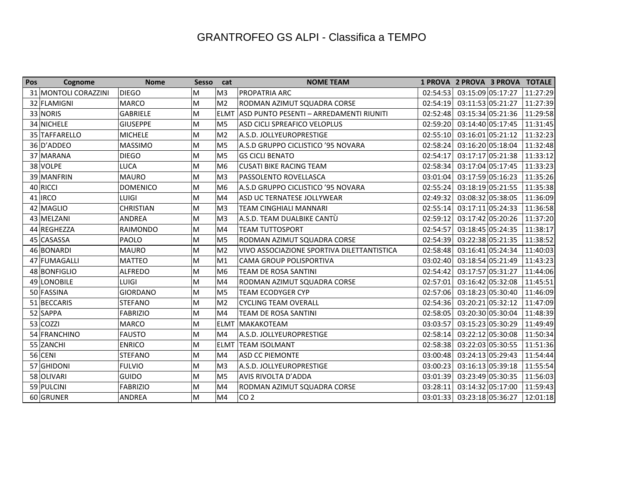| Pos | Cognome              | <b>Nome</b>      | Sesso cat |                | <b>NOME TEAM</b>                           |          |                   | 1 PROVA 2 PROVA 3 PROVA TOTALE |          |
|-----|----------------------|------------------|-----------|----------------|--------------------------------------------|----------|-------------------|--------------------------------|----------|
|     | 31 MONTOLI CORAZZINI | <b>DIEGO</b>     | M         | M <sub>3</sub> | <b>PROPATRIA ARC</b>                       | 02:54:53 | 03:15:09 05:17:27 |                                | 11:27:29 |
|     | 32 FLAMIGNI          | <b>MARCO</b>     | M         | M <sub>2</sub> | RODMAN AZIMUT SQUADRA CORSE                | 02:54:19 | 03:11:53 05:21:27 |                                | 11:27:39 |
|     | 33 NORIS             | <b>GABRIELE</b>  | M         | <b>ELMT</b>    | ASD PUNTO PESENTI – ARREDAMENTI RIUNITI    | 02:52:48 | 03:15:34 05:21:36 |                                | 11:29:58 |
|     | 34 NICHELE           | <b>GIUSEPPE</b>  | M         | M <sub>5</sub> | ASD CICLI SPREAFICO VELOPLUS               | 02:59:20 | 03:14:40 05:17:45 |                                | 11:31:45 |
|     | 35 TAFFARELLO        | <b>MICHELE</b>   | M         | M <sub>2</sub> | A.S.D. JOLLYEUROPRESTIGE                   | 02:55:10 | 03:16:01 05:21:12 |                                | 11:32:23 |
|     | 36 D'ADDEO           | <b>MASSIMO</b>   | M         | M <sub>5</sub> | A.S.D GRUPPO CICLISTICO '95 NOVARA         | 02:58:24 | 03:16:20 05:18:04 |                                | 11:32:48 |
|     | 37 MARANA            | <b>DIEGO</b>     | M         | M <sub>5</sub> | <b>GS CICLI BENATO</b>                     | 02:54:17 | 03:17:17 05:21:38 |                                | 11:33:12 |
|     | 38 VOLPE             | <b>LUCA</b>      | M         | M <sub>6</sub> | <b>CUSATI BIKE RACING TEAM</b>             | 02:58:34 | 03:17:04 05:17:45 |                                | 11:33:23 |
|     | 39 MANFRIN           | <b>MAURO</b>     | M         | M <sub>3</sub> | <b>PASSOLENTO ROVELLASCA</b>               | 03:01:04 | 03:17:59 05:16:23 |                                | 11:35:26 |
|     | 40 RICCI             | <b>DOMENICO</b>  | M         | M <sub>6</sub> | A.S.D GRUPPO CICLISTICO '95 NOVARA         | 02:55:24 | 03:18:19 05:21:55 |                                | 11:35:38 |
|     | $41 $ IRCO           | <b>LUIGI</b>     | M         | M <sub>4</sub> | ASD UC TERNATESE JOLLYWEAR                 | 02:49:32 | 03:08:32 05:38:05 |                                | 11:36:09 |
|     | 42 MAGLIO            | <b>CHRISTIAN</b> | M         | M <sub>3</sub> | <b>TEAM CINGHIALI MANNARI</b>              | 02:55:14 | 03:17:11 05:24:33 |                                | 11:36:58 |
|     | 43 MELZANI           | <b>ANDREA</b>    | M         | M <sub>3</sub> | A.S.D. TEAM DUALBIKE CANTÙ                 | 02:59:12 | 03:17:42 05:20:26 |                                | 11:37:20 |
|     | 44 REGHEZZA          | <b>RAIMONDO</b>  | M         | M <sub>4</sub> | <b>TEAM TUTTOSPORT</b>                     | 02:54:57 | 03:18:45 05:24:35 |                                | 11:38:17 |
|     | 45 CASASSA           | <b>PAOLO</b>     | M         | M <sub>5</sub> | RODMAN AZIMUT SQUADRA CORSE                | 02:54:39 | 03:22:38 05:21:35 |                                | 11:38:52 |
|     | 46 BONARDI           | <b>MAURO</b>     | M         | M <sub>2</sub> | VIVO ASSOCIAZIONE SPORTIVA DILETTANTISTICA | 02:58:48 | 03:16:41 05:24:34 |                                | 11:40:03 |
|     | 47 FUMAGALLI         | <b>MATTEO</b>    | M         | M <sub>1</sub> | CAMA GROUP POLISPORTIVA                    | 03:02:40 | 03:18:54 05:21:49 |                                | 11:43:23 |
|     | 48 BONFIGLIO         | <b>ALFREDO</b>   | M         | M <sub>6</sub> | <b>TEAM DE ROSA SANTINI</b>                | 02:54:42 | 03:17:57 05:31:27 |                                | 11:44:06 |
|     | 49 LONOBILE          | <b>LUIGI</b>     | M         | M <sub>4</sub> | RODMAN AZIMUT SQUADRA CORSE                | 02:57:01 | 03:16:42 05:32:08 |                                | 11:45:51 |
|     | 50 FASSINA           | <b>GIORDANO</b>  | M         | M <sub>5</sub> | TEAM ECODYGER CYP                          | 02:57:06 | 03:18:23 05:30:40 |                                | 11:46:09 |
|     | 51 BECCARIS          | <b>STEFANO</b>   | M         | M <sub>2</sub> | <b>CYCLING TEAM OVERALL</b>                | 02:54:36 | 03:20:21 05:32:12 |                                | 11:47:09 |
|     | 52 SAPPA             | <b>FABRIZIO</b>  | M         | M <sub>4</sub> | TEAM DE ROSA SANTINI                       | 02:58:05 | 03:20:30 05:30:04 |                                | 11:48:39 |
|     | 53 COZZI             | <b>MARCO</b>     | M         | <b>ELMT</b>    | MAKAKOTEAM                                 | 03:03:57 | 03:15:23 05:30:29 |                                | 11:49:49 |
|     | 54 FRANCHINO         | <b>FAUSTO</b>    | M         | M <sub>4</sub> | A.S.D. JOLLYEUROPRESTIGE                   | 02:58:14 | 03:22:12 05:30:08 |                                | 11:50:34 |
|     | 55 ZANCHI            | <b>ENRICO</b>    | M         | <b>ELMT</b>    | <b>TEAM ISOLMANT</b>                       | 02:58:38 | 03:22:03 05:30:55 |                                | 11:51:36 |
|     | $56$ CENI            | <b>STEFANO</b>   | M         | M4             | <b>ASD CC PIEMONTE</b>                     | 03:00:48 | 03:24:13 05:29:43 |                                | 11:54:44 |
|     | 57 GHIDONI           | <b>FULVIO</b>    | M         | M <sub>3</sub> | A.S.D. JOLLYEUROPRESTIGE                   | 03:00:23 | 03:16:13 05:39:18 |                                | 11:55:54 |
|     | 58 OLIVARI           | <b>GUIDO</b>     | M         | M <sub>5</sub> | <b>AVIS RIVOLTA D'ADDA</b>                 | 03:01:39 | 03:23:49 05:30:35 |                                | 11:56:03 |
|     | 59 PULCINI           | <b>FABRIZIO</b>  | M         | M <sub>4</sub> | RODMAN AZIMUT SQUADRA CORSE                | 03:28:11 | 03:14:32 05:17:00 |                                | 11:59:43 |
|     | 60 GRUNER            | <b>ANDREA</b>    | M         | M <sub>4</sub> | CO <sub>2</sub>                            | 03:01:33 | 03:23:18 05:36:27 |                                | 12:01:18 |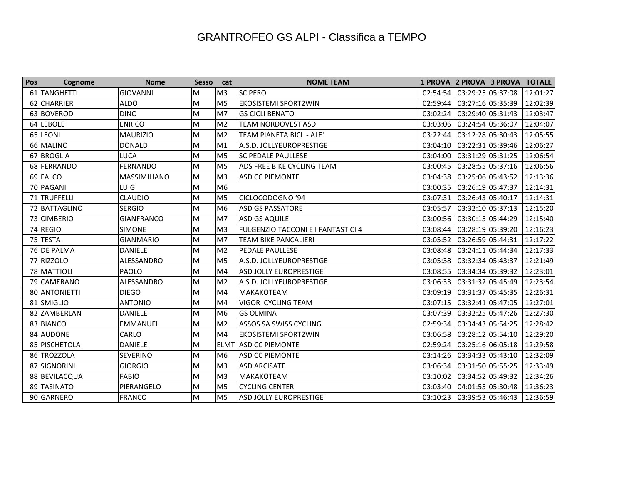| Pos | Cognome       | <b>Nome</b>       | Sesso cat |                | <b>NOME TEAM</b>                   |          | 1 PROVA 2 PROVA 3 PROVA TOTALE |          |
|-----|---------------|-------------------|-----------|----------------|------------------------------------|----------|--------------------------------|----------|
|     | 61 TANGHETTI  | <b>GIOVANNI</b>   | M         | M <sub>3</sub> | <b>SC PERO</b>                     | 02:54:54 | 03:29:25 05:37:08              | 12:01:27 |
|     | 62 CHARRIER   | <b>ALDO</b>       | M         | M <sub>5</sub> | <b>EKOSISTEMI SPORT2WIN</b>        | 02:59:44 | 03:27:16 05:35:39              | 12:02:39 |
|     | 63 BOVEROD    | <b>DINO</b>       | M         | M <sub>7</sub> | <b>GS CICLI BENATO</b>             | 03:02:24 | 03:29:40 05:31:43              | 12:03:47 |
|     | 64 LEBOLE     | <b>ENRICO</b>     | M         | M <sub>2</sub> | <b>TEAM NORDOVEST ASD</b>          | 03:03:06 | 03:24:54 05:36:07              | 12:04:07 |
|     | 65 LEONI      | <b>MAURIZIO</b>   | M         | M <sub>2</sub> | TEAM PIANETA BICI - ALE'           | 03:22:44 | 03:12:28 05:30:43              | 12:05:55 |
|     | 66 MALINO     | <b>DONALD</b>     | M         | M1             | A.S.D. JOLLYEUROPRESTIGE           | 03:04:10 | 03:22:31 05:39:46              | 12:06:27 |
|     | 67 BROGLIA    | LUCA              | M         | M <sub>5</sub> | <b>SC PEDALE PAULLESE</b>          | 03:04:00 | 03:31:29 05:31:25              | 12:06:54 |
|     | 68 FERRANDO   | <b>FERNANDO</b>   | M         | M <sub>5</sub> | ADS FREE BIKE CYCLING TEAM         | 03:00:45 | 03:28:55 05:37:16              | 12:06:56 |
|     | 69 FALCO      | MASSIMILIANO      | M         | M <sub>3</sub> | <b>ASD CC PIEMONTE</b>             | 03:04:38 | 03:25:06 05:43:52              | 12:13:36 |
|     | 70 PAGANI     | LUIGI             | M         | M <sub>6</sub> |                                    | 03:00:35 | 03:26:19 05:47:37              | 12:14:31 |
|     | 71 TRUFFELLI  | <b>CLAUDIO</b>    | M         | M <sub>5</sub> | CICLOCODOGNO '94                   | 03:07:31 | 03:26:43 05:40:17              | 12:14:31 |
|     | 72 BATTAGLINO | <b>SERGIO</b>     | M         | M <sub>6</sub> | <b>ASD GS PASSATORE</b>            | 03:05:57 | 03:32:10 05:37:13              | 12:15:20 |
|     | 73 CIMBERIO   | <b>GIANFRANCO</b> | M         | M7             | <b>ASD GS AQUILE</b>               | 03:00:56 | 03:30:15 05:44:29              | 12:15:40 |
|     | 74 REGIO      | <b>SIMONE</b>     | M         | M3             | FULGENZIO TACCONI E I FANTASTICI 4 | 03:08:44 | 03:28:19 05:39:20              | 12:16:23 |
|     | 75 TESTA      | <b>GIANMARIO</b>  | M         | M <sub>7</sub> | <b>TEAM BIKE PANCALIERI</b>        | 03:05:52 | 03:26:59 05:44:31              | 12:17:22 |
|     | 76 DE PALMA   | <b>DANIELE</b>    | M         | M <sub>2</sub> | PEDALE PAULLESE                    | 03:08:48 | 03:24:11 05:44:34              | 12:17:33 |
|     | 77 RIZZOLO    | ALESSANDRO        | M         | M <sub>5</sub> | A.S.D. JOLLYEUROPRESTIGE           | 03:05:38 | 03:32:34 05:43:37              | 12:21:49 |
|     | 78 MATTIOLI   | PAOLO             | M         | M4             | ASD JOLLY EUROPRESTIGE             | 03:08:55 | 03:34:34 05:39:32              | 12:23:01 |
|     | 79 CAMERANO   | ALESSANDRO        | M         | M <sub>2</sub> | A.S.D. JOLLYEUROPRESTIGE           | 03:06:33 | 03:31:32 05:45:49              | 12:23:54 |
|     | 80 ANTONIETTI | <b>DIEGO</b>      | M         | M <sub>4</sub> | MAKAKOTEAM                         | 03:09:19 | 03:31:37 05:45:35              | 12:26:31 |
|     | 81 SMIGLIO    | <b>ANTONIO</b>    | M         | M4             | VIGOR CYCLING TEAM                 | 03:07:15 | 03:32:41 05:47:05              | 12:27:01 |
|     | 82 ZAMBERLAN  | <b>DANIELE</b>    | M         | M <sub>6</sub> | <b>GS OLMINA</b>                   | 03:07:39 | 03:32:25 05:47:26              | 12:27:30 |
|     | 83 BIANCO     | EMMANUEL          | M         | M <sub>2</sub> | ASSOS SA SWISS CYCLING             | 02:59:34 | 03:34:43 05:54:25              | 12:28:42 |
|     | 84 AUDONE     | CARLO             | M         | M <sub>4</sub> | <b>EKOSISTEMI SPORT2WIN</b>        | 03:06:58 | 03:28:12 05:54:10              | 12:29:20 |
|     | 85 PISCHETOLA | <b>DANIELE</b>    | M         | <b>ELMT</b>    | <b>ASD CC PIEMONTE</b>             | 02:59:24 | 03:25:16 06:05:18              | 12:29:58 |
|     | 86 TROZZOLA   | <b>SEVERINO</b>   | M         | M <sub>6</sub> | <b>ASD CC PIEMONTE</b>             | 03:14:26 | 03:34:33 05:43:10              | 12:32:09 |
|     | 87 SIGNORINI  | <b>GIORGIO</b>    | M         | M <sub>3</sub> | <b>ASD ARCISATE</b>                | 03:06:34 | 03:31:50 05:55:25              | 12:33:49 |
|     | 88 BEVILACQUA | <b>FABIO</b>      | M         | M <sub>3</sub> | MAKAKOTEAM                         | 03:10:02 | 03:34:52 05:49:32              | 12:34:26 |
|     | 89 TASINATO   | PIERANGELO        | M         | M <sub>5</sub> | <b>CYCLING CENTER</b>              | 03:03:40 | 04:01:55 05:30:48              | 12:36:23 |
|     | 90 GARNERO    | <b>FRANCO</b>     | M         | M <sub>5</sub> | <b>ASD JOLLY EUROPRESTIGE</b>      | 03:10:23 | 03:39:53 05:46:43              | 12:36:59 |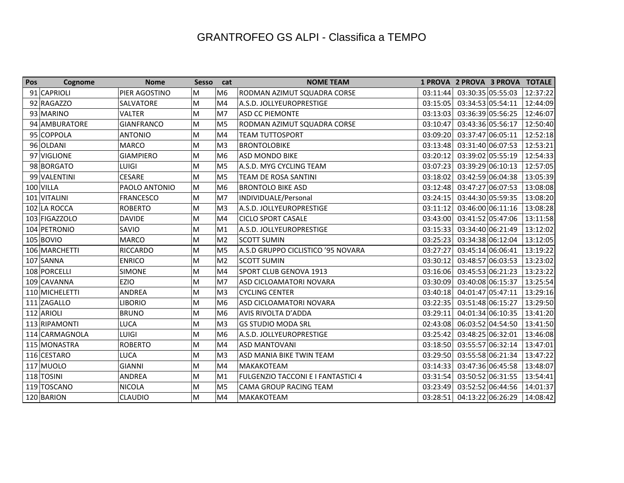| Pos | Cognome        | <b>Nome</b>       | Sesso cat |                | <b>NOME TEAM</b>                          |          | 1 PROVA 2 PROVA 3 PROVA TOTALE |          |
|-----|----------------|-------------------|-----------|----------------|-------------------------------------------|----------|--------------------------------|----------|
|     | 91 CAPRIOLI    | PIER AGOSTINO     | M         | M <sub>6</sub> | RODMAN AZIMUT SQUADRA CORSE               | 03:11:44 | 03:30:35 05:55:03              | 12:37:22 |
|     | 92 RAGAZZO     | <b>SALVATORE</b>  | M         | M4             | A.S.D. JOLLYEUROPRESTIGE                  | 03:15:05 | 03:34:53 05:54:11              | 12:44:09 |
|     | 93 MARINO      | <b>VALTER</b>     | M         | M7             | <b>ASD CC PIEMONTE</b>                    | 03:13:03 | 03:36:39 05:56:25              | 12:46:07 |
|     | 94 AMBURATORE  | <b>GIANFRANCO</b> | M         | M5             | RODMAN AZIMUT SQUADRA CORSE               | 03:10:47 | 03:43:36 05:56:17              | 12:50:40 |
|     | 95 COPPOLA     | <b>ANTONIO</b>    | M         | M4             | <b>TEAM TUTTOSPORT</b>                    | 03:09:20 | 03:37:47 06:05:11              | 12:52:18 |
|     | 96 OLDANI      | <b>MARCO</b>      | M         | M <sub>3</sub> | <b>BRONTOLOBIKE</b>                       | 03:13:48 | 03:31:40 06:07:53              | 12:53:21 |
|     | 97 VIGLIONE    | <b>GIAMPIERO</b>  | M         | M <sub>6</sub> | <b>ASD MONDO BIKE</b>                     | 03:20:12 | 03:39:02 05:55:19              | 12:54:33 |
|     | 98 BORGATO     | <b>LUIGI</b>      | M         | M <sub>5</sub> | A.S.D. MYG CYCLING TEAM                   | 03:07:23 | 03:39:29 06:10:13              | 12:57:05 |
|     | 99 VALENTINI   | <b>CESARE</b>     | M         | M <sub>5</sub> | TEAM DE ROSA SANTINI                      | 03:18:02 | 03:42:59 06:04:38              | 13:05:39 |
|     | $100$ VILLA    | PAOLO ANTONIO     | M         | M <sub>6</sub> | <b>BRONTOLO BIKE ASD</b>                  | 03:12:48 | 03:47:27 06:07:53              | 13:08:08 |
|     | 101 VITALINI   | <b>FRANCESCO</b>  | M         | M7             | INDIVIDUALE/Personal                      | 03:24:15 | 03:44:30 05:59:35              | 13:08:20 |
|     | 102 LA ROCCA   | <b>ROBERTO</b>    | M         | M <sub>3</sub> | A.S.D. JOLLYEUROPRESTIGE                  | 03:11:12 | 03:46:00 06:11:16              | 13:08:28 |
|     | 103 FIGAZZOLO  | <b>DAVIDE</b>     | M         | M4             | <b>CICLO SPORT CASALE</b>                 | 03:43:00 | 03:41:52 05:47:06              | 13:11:58 |
|     | 104 PETRONIO   | SAVIO             | M         | M1             | A.S.D. JOLLYEUROPRESTIGE                  | 03:15:33 | 03:34:40 06:21:49              | 13:12:02 |
|     | $105$ BOVIO    | <b>MARCO</b>      | M         | M <sub>2</sub> | <b>SCOTT SUMIN</b>                        | 03:25:23 | 03:34:38 06:12:04              | 13:12:05 |
|     | 106 MARCHETTI  | <b>RICCARDO</b>   | M         | M <sub>5</sub> | A.S.D GRUPPO CICLISTICO '95 NOVARA        | 03:27:27 | 03:45:14 06:06:41              | 13:19:22 |
|     | 107 SANNA      | <b>ENRICO</b>     | M         | M <sub>2</sub> | <b>SCOTT SUMIN</b>                        | 03:30:12 | 03:48:57 06:03:53              | 13:23:02 |
|     | 108 PORCELLI   | <b>SIMONE</b>     | M         | M <sub>4</sub> | SPORT CLUB GENOVA 1913                    | 03:16:06 | 03:45:53 06:21:23              | 13:23:22 |
|     | 109 CAVANNA    | EZIO              | M         | M7             | ASD CICLOAMATORI NOVARA                   | 03:30:09 | 03:40:08 06:15:37              | 13:25:54 |
|     | 110 MICHELETTI | <b>ANDREA</b>     | M         | M <sub>3</sub> | <b>CYCLING CENTER</b>                     | 03:40:18 | 04:01:47 05:47:11              | 13:29:16 |
|     | 111 ZAGALLO    | <b>LIBORIO</b>    | M         | M <sub>6</sub> | ASD CICLOAMATORI NOVARA                   | 03:22:35 | 03:51:48 06:15:27              | 13:29:50 |
|     | 112 ARIOLI     | <b>BRUNO</b>      | M         | M <sub>6</sub> | AVIS RIVOLTA D'ADDA                       | 03:29:11 | 04:01:34 06:10:35              | 13:41:20 |
|     | 113 RIPAMONTI  | LUCA              | M         | M <sub>3</sub> | <b>GS STUDIO MODA SRL</b>                 | 02:43:08 | 06:03:52 04:54:50              | 13:41:50 |
|     | 114 CARMAGNOLA | <b>LUIGI</b>      | M         | M <sub>6</sub> | A.S.D. JOLLYEUROPRESTIGE                  | 03:25:42 | 03:48:25 06:32:01              | 13:46:08 |
|     | 115 MONASTRA   | <b>ROBERTO</b>    | M         | M <sub>4</sub> | <b>ASD MANTOVANI</b>                      | 03:18:50 | 03:55:57 06:32:14              | 13:47:01 |
|     | 116 CESTARO    | LUCA              | M         | M <sub>3</sub> | ASD MANIA BIKE TWIN TEAM                  | 03:29:50 | 03:55:58 06:21:34              | 13:47:22 |
|     | 117 MUOLO      | <b>GIANNI</b>     | M         | M <sub>4</sub> | <b>MAKAKOTEAM</b>                         | 03:14:33 | 03:47:36 06:45:58              | 13:48:07 |
|     | 118 TOSINI     | <b>ANDREA</b>     | M         | M1             | <b>FULGENZIO TACCONI E I FANTASTICI 4</b> | 03:31:54 | 03:50:52 06:31:55              | 13:54:41 |
|     | 119 TOSCANO    | <b>NICOLA</b>     | M         | M <sub>5</sub> | <b>CAMA GROUP RACING TEAM</b>             | 03:23:49 | 03:52:52 06:44:56              | 14:01:37 |
|     | 120 BARION     | <b>CLAUDIO</b>    | M         | M4             | MAKAKOTEAM                                | 03:28:51 | 04:13:22 06:26:29              | 14:08:42 |